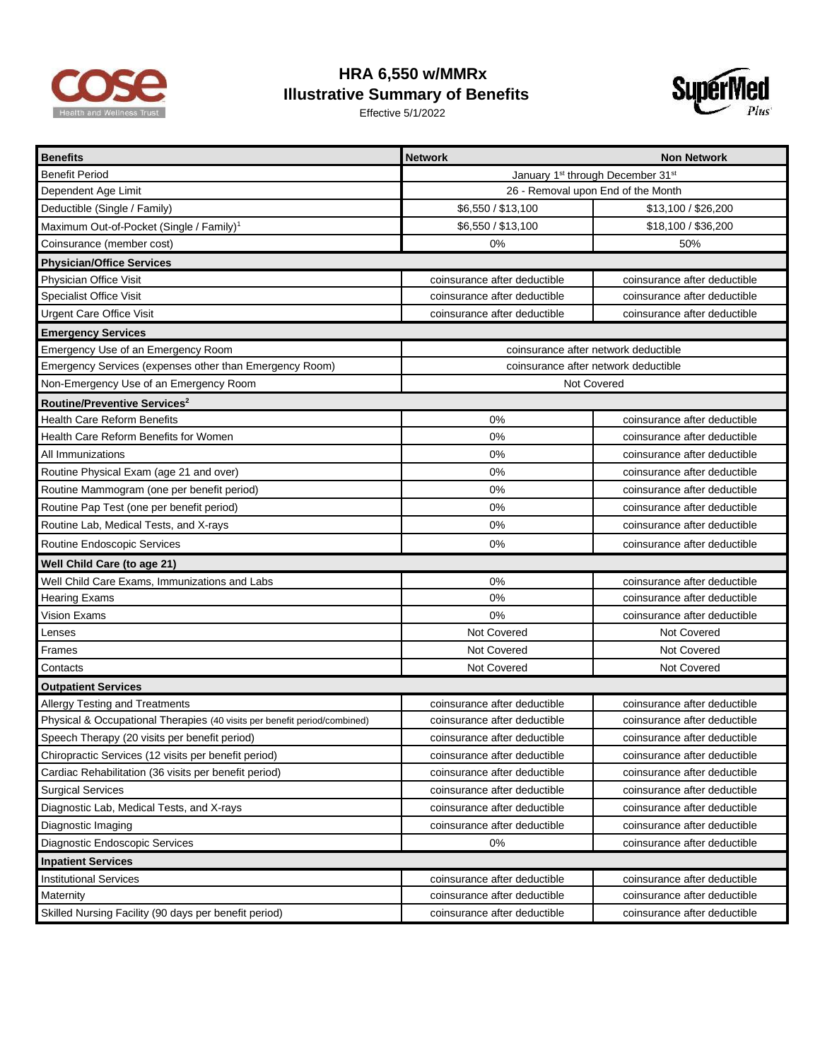

## **HRA 6,550 w/MMRx Illustrative Summary of Benefits**

Effective 5/1/2022



| <b>Benefits</b>                                                           | <b>Network</b>                                            | <b>Non Network</b>           |  |
|---------------------------------------------------------------------------|-----------------------------------------------------------|------------------------------|--|
| <b>Benefit Period</b>                                                     | January 1 <sup>st</sup> through December 31 <sup>st</sup> |                              |  |
| Dependent Age Limit                                                       | 26 - Removal upon End of the Month                        |                              |  |
| Deductible (Single / Family)                                              | \$6,550 / \$13,100                                        | \$13,100 / \$26,200          |  |
| Maximum Out-of-Pocket (Single / Family) <sup>1</sup>                      | \$6,550 / \$13,100                                        | \$18,100 / \$36,200          |  |
| Coinsurance (member cost)                                                 | 0%                                                        | 50%                          |  |
| <b>Physician/Office Services</b>                                          |                                                           |                              |  |
| Physician Office Visit                                                    | coinsurance after deductible                              | coinsurance after deductible |  |
| Specialist Office Visit                                                   | coinsurance after deductible                              | coinsurance after deductible |  |
| <b>Urgent Care Office Visit</b>                                           | coinsurance after deductible                              | coinsurance after deductible |  |
| <b>Emergency Services</b>                                                 |                                                           |                              |  |
| Emergency Use of an Emergency Room                                        | coinsurance after network deductible                      |                              |  |
| Emergency Services (expenses other than Emergency Room)                   | coinsurance after network deductible                      |                              |  |
| Non-Emergency Use of an Emergency Room                                    |                                                           | Not Covered                  |  |
| Routine/Preventive Services <sup>2</sup>                                  |                                                           |                              |  |
| <b>Health Care Reform Benefits</b>                                        | 0%                                                        | coinsurance after deductible |  |
| Health Care Reform Benefits for Women                                     | 0%                                                        | coinsurance after deductible |  |
| All Immunizations                                                         | 0%                                                        | coinsurance after deductible |  |
| Routine Physical Exam (age 21 and over)                                   | 0%                                                        | coinsurance after deductible |  |
| Routine Mammogram (one per benefit period)                                | 0%                                                        | coinsurance after deductible |  |
| Routine Pap Test (one per benefit period)                                 | 0%                                                        | coinsurance after deductible |  |
| Routine Lab, Medical Tests, and X-rays                                    | 0%                                                        | coinsurance after deductible |  |
| Routine Endoscopic Services                                               | 0%                                                        | coinsurance after deductible |  |
| Well Child Care (to age 21)                                               |                                                           |                              |  |
| Well Child Care Exams, Immunizations and Labs                             | 0%                                                        | coinsurance after deductible |  |
| <b>Hearing Exams</b>                                                      | 0%                                                        | coinsurance after deductible |  |
| Vision Exams                                                              | 0%                                                        | coinsurance after deductible |  |
| Lenses                                                                    | Not Covered                                               | Not Covered                  |  |
| Frames                                                                    | Not Covered                                               | Not Covered                  |  |
| Contacts                                                                  | Not Covered                                               | Not Covered                  |  |
| <b>Outpatient Services</b>                                                |                                                           |                              |  |
| Allergy Testing and Treatments                                            | coinsurance after deductible                              | coinsurance after deductible |  |
| Physical & Occupational Therapies (40 visits per benefit period/combined) | coinsurance after deductible                              | coinsurance after deductible |  |
| Speech Therapy (20 visits per benefit period)                             | coinsurance after deductible                              | coinsurance after deductible |  |
| Chiropractic Services (12 visits per benefit period)                      | coinsurance after deductible                              | coinsurance after deductible |  |
| Cardiac Rehabilitation (36 visits per benefit period)                     | coinsurance after deductible                              | coinsurance after deductible |  |
| <b>Surgical Services</b>                                                  | coinsurance after deductible                              | coinsurance after deductible |  |
| Diagnostic Lab, Medical Tests, and X-rays                                 | coinsurance after deductible                              | coinsurance after deductible |  |
| Diagnostic Imaging                                                        | coinsurance after deductible                              | coinsurance after deductible |  |
| Diagnostic Endoscopic Services                                            | $0\%$                                                     | coinsurance after deductible |  |
| <b>Inpatient Services</b>                                                 |                                                           |                              |  |
| <b>Institutional Services</b>                                             | coinsurance after deductible                              | coinsurance after deductible |  |
| Maternity                                                                 | coinsurance after deductible                              | coinsurance after deductible |  |
| Skilled Nursing Facility (90 days per benefit period)                     | coinsurance after deductible                              | coinsurance after deductible |  |